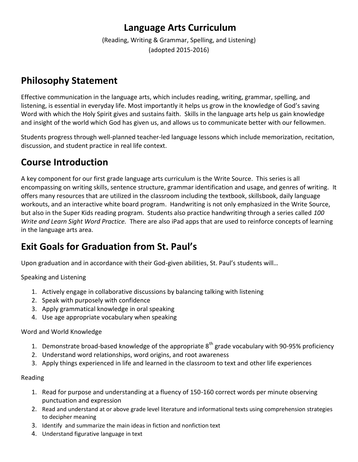# **Language Arts Curriculum**

(Reading, Writing & Grammar, Spelling, and Listening) (adopted 2015-2016)

# **Philosophy Statement**

Effective communication in the language arts, which includes reading, writing, grammar, spelling, and listening, is essential in everyday life. Most importantly it helps us grow in the knowledge of God's saving Word with which the Holy Spirit gives and sustains faith. Skills in the language arts help us gain knowledge and insight of the world which God has given us, and allows us to communicate better with our fellowmen.

Students progress through well-planned teacher-led language lessons which include memorization, recitation, discussion, and student practice in real life context.

# **Course Introduction**

A key component for our first grade language arts curriculum is the Write Source. This series is all encompassing on writing skills, sentence structure, grammar identification and usage, and genres of writing. It offers many resources that are utilized in the classroom including the textbook, skillsbook, daily language workouts, and an interactive white board program. Handwriting is not only emphasized in the Write Source, but also in the Super Kids reading program. Students also practice handwriting through a series called *100 Write and Learn Sight Word Practice.* There are also iPad apps that are used to reinforce concepts of learning in the language arts area.

# **Exit Goals for Graduation from St. Paul's**

Upon graduation and in accordance with their God-given abilities, St. Paul's students will…

Speaking and Listening

- 1. Actively engage in collaborative discussions by balancing talking with listening
- 2. Speak with purposely with confidence
- 3. Apply grammatical knowledge in oral speaking
- 4. Use age appropriate vocabulary when speaking

# Word and World Knowledge

- 1. Demonstrate broad-based knowledge of the appropriate  $8^{th}$  grade vocabulary with 90-95% proficiency
- 2. Understand word relationships, word origins, and root awareness
- 3. Apply things experienced in life and learned in the classroom to text and other life experiences

# Reading

- 1. Read for purpose and understanding at a fluency of 150-160 correct words per minute observing punctuation and expression
- 2. Read and understand at or above grade level literature and informational texts using comprehension strategies to decipher meaning
- 3. Identify and summarize the main ideas in fiction and nonfiction text
- 4. Understand figurative language in text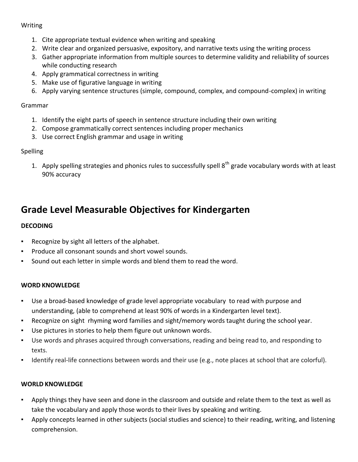## Writing

- 1. Cite appropriate textual evidence when writing and speaking
- 2. Write clear and organized persuasive, expository, and narrative texts using the writing process
- 3. Gather appropriate information from multiple sources to determine validity and reliability of sources while conducting research
- 4. Apply grammatical correctness in writing
- 5. Make use of figurative language in writing
- 6. Apply varying sentence structures (simple, compound, complex, and compound-complex) in writing

# Grammar

- 1. Identify the eight parts of speech in sentence structure including their own writing
- 2. Compose grammatically correct sentences including proper mechanics
- 3. Use correct English grammar and usage in writing

# Spelling

1. Apply spelling strategies and phonics rules to successfully spell  $8<sup>th</sup>$  grade vocabulary words with at least 90% accuracy

# **Grade Level Measurable Objectives for Kindergarten**

# **DECODING**

- Recognize by sight all letters of the alphabet.
- Produce all consonant sounds and short vowel sounds.
- Sound out each letter in simple words and blend them to read the word.

# **WORD KNOWLEDGE**

- Use a broad-based knowledge of grade level appropriate vocabulary to read with purpose and understanding, (able to comprehend at least 90% of words in a Kindergarten level text).
- Recognize on sight rhyming word families and sight/memory words taught during the school year.
- Use pictures in stories to help them figure out unknown words.
- Use words and phrases acquired through conversations, reading and being read to, and responding to texts.
- Identify real-life connections between words and their use (e.g., note places at school that are colorful).

# **WORLD KNOWLEDGE**

- Apply things they have seen and done in the classroom and outside and relate them to the text as well as take the vocabulary and apply those words to their lives by speaking and writing.
- Apply concepts learned in other subjects (social studies and science) to their reading, writing, and listening comprehension.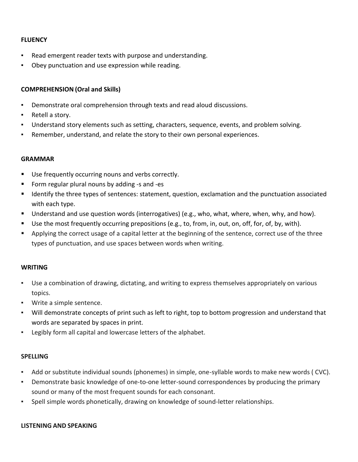## **FLUENCY**

- Read emergent reader texts with purpose and understanding.
- Obey punctuation and use expression while reading.

## **COMPREHENSION (Oral and Skills)**

- Demonstrate oral comprehension through texts and read aloud discussions.
- Retell a story.
- Understand story elements such as setting, characters, sequence, events, and problem solving.
- Remember, understand, and relate the story to their own personal experiences.

### **GRAMMAR**

- Use frequently occurring nouns and verbs correctly.
- Form regular plural nouns by adding -s and -es
- Identify the three types of sentences: statement, question, exclamation and the punctuation associated with each type.
- Understand and use question words (interrogatives) (e.g., who, what, where, when, why, and how).
- Use the most frequently occurring prepositions (e.g., to, from, in, out, on, off, for, of, by, with).
- **Applying the correct usage of a capital letter at the beginning of the sentence, correct use of the three** types of punctuation, and use spaces between words when writing.

### **WRITING**

- Use a combination of drawing, dictating, and writing to express themselves appropriately on various topics.
- Write a simple sentence.
- Will demonstrate concepts of print such as left to right, top to bottom progression and understand that words are separated by spaces in print.
- Legibly form all capital and lowercase letters of the alphabet.

#### **SPELLING**

- Add or substitute individual sounds (phonemes) in simple, one-syllable words to make new words ( CVC).
- Demonstrate basic knowledge of one-to-one letter-sound correspondences by producing the primary sound or many of the most frequent sounds for each consonant.
- Spell simple words phonetically, drawing on knowledge of sound-letter relationships.

### **LISTENING AND SPEAKING**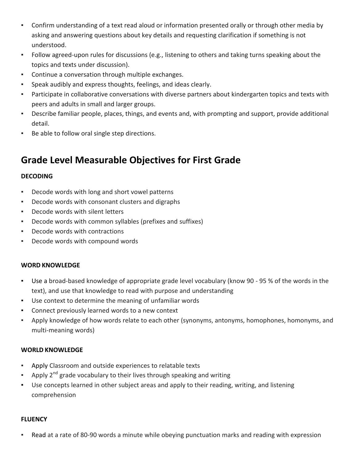- Confirm understanding of a text read aloud or information presented orally or through other media by asking and answering questions about key details and requesting clarification if something is not understood.
- Follow agreed-upon rules for discussions (e.g., listening to others and taking turns speaking about the topics and texts under discussion).
- Continue a conversation through multiple exchanges.
- Speak audibly and express thoughts, feelings, and ideas clearly.
- Participate in collaborative conversations with diverse partners about kindergarten topics and texts with peers and adults in small and larger groups.
- Describe familiar people, places, things, and events and, with prompting and support, provide additional detail.
- Be able to follow oral single step directions.

# **Grade Level Measurable Objectives for First Grade**

# **DECODING**

- Decode words with long and short vowel patterns
- Decode words with consonant clusters and digraphs
- Decode words with silent letters
- Decode words with common syllables (prefixes and suffixes)
- Decode words with contractions
- Decode words with compound words

### **WORD KNOWLEDGE**

- Use a broad-based knowledge of appropriate grade level vocabulary (know 90 95 % of the words in the text), and use that knowledge to read with purpose and understanding
- Use context to determine the meaning of unfamiliar words
- Connect previously learned words to a new context
- Apply knowledge of how words relate to each other (synonyms, antonyms, homophones, homonyms, and multi-meaning words)

### **WORLD KNOWLEDGE**

- Apply Classroom and outside experiences to relatable texts
- Apply  $2^{nd}$  grade vocabulary to their lives through speaking and writing
- Use concepts learned in other subject areas and apply to their reading, writing, and listening comprehension

### **FLUENCY**

▪ Read at a rate of 80-90 words a minute while obeying punctuation marks and reading with expression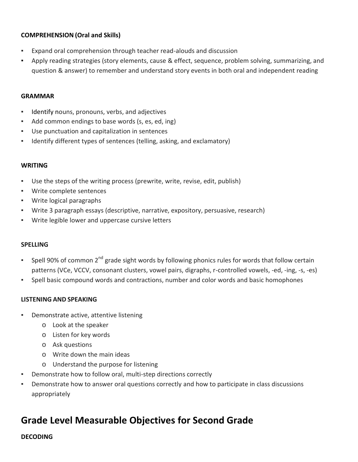# **COMPREHENSION (Oral and Skills)**

- Expand oral comprehension through teacher read-alouds and discussion
- Apply reading strategies (story elements, cause & effect, sequence, problem solving, summarizing, and question & answer) to remember and understand story events in both oral and independent reading

## **GRAMMAR**

- Identify nouns, pronouns, verbs, and adjectives
- Add common endings to base words (s, es, ed, ing)
- Use punctuation and capitalization in sentences
- Identify different types of sentences (telling, asking, and exclamatory)

### **WRITING**

- Use the steps of the writing process (prewrite, write, revise, edit, publish)
- Write complete sentences
- Write logical paragraphs
- Write 3 paragraph essays (descriptive, narrative, expository, persuasive, research)
- Write legible lower and uppercase cursive letters

### **SPELLING**

- Spell 90% of common  $2^{nd}$  grade sight words by following phonics rules for words that follow certain patterns (VCe, VCCV, consonant clusters, vowel pairs, digraphs, r-controlled vowels, -ed, -ing, -s, -es)
- Spell basic compound words and contractions, number and color words and basic homophones

### **LISTENING AND SPEAKING**

- Demonstrate active, attentive listening
	- o Look at the speaker
	- o Listen for key words
	- o Ask questions
	- o Write down the main ideas
	- o Understand the purpose for listening
- Demonstrate how to follow oral, multi-step directions correctly
- Demonstrate how to answer oral questions correctly and how to participate in class discussions appropriately

# **Grade Level Measurable Objectives for Second Grade**

**DECODING**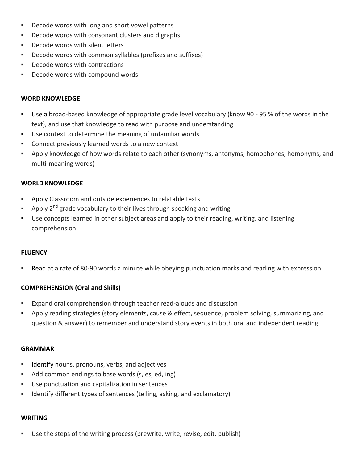- Decode words with long and short vowel patterns
- Decode words with consonant clusters and digraphs
- Decode words with silent letters
- Decode words with common syllables (prefixes and suffixes)
- Decode words with contractions
- Decode words with compound words

## **WORD KNOWLEDGE**

- Use a broad-based knowledge of appropriate grade level vocabulary (know 90 95 % of the words in the text), and use that knowledge to read with purpose and understanding
- Use context to determine the meaning of unfamiliar words
- Connect previously learned words to a new context
- Apply knowledge of how words relate to each other (synonyms, antonyms, homophones, homonyms, and multi-meaning words)

## **WORLD KNOWLEDGE**

- Apply Classroom and outside experiences to relatable texts
- Apply  $2^{nd}$  grade vocabulary to their lives through speaking and writing
- Use concepts learned in other subject areas and apply to their reading, writing, and listening comprehension

# **FLUENCY**

Read at a rate of 80-90 words a minute while obeying punctuation marks and reading with expression

# **COMPREHENSION (Oral and Skills)**

- Expand oral comprehension through teacher read-alouds and discussion
- Apply reading strategies (story elements, cause & effect, sequence, problem solving, summarizing, and question & answer) to remember and understand story events in both oral and independent reading

### **GRAMMAR**

- Identify nouns, pronouns, verbs, and adjectives
- Add common endings to base words (s, es, ed, ing)
- Use punctuation and capitalization in sentences
- Identify different types of sentences (telling, asking, and exclamatory)

### **WRITING**

Use the steps of the writing process (prewrite, write, revise, edit, publish)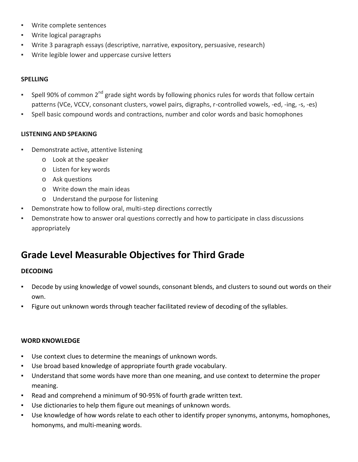- Write complete sentences
- Write logical paragraphs
- Write 3 paragraph essays (descriptive, narrative, expository, persuasive, research)
- Write legible lower and uppercase cursive letters

## **SPELLING**

- **•** Spell 90% of common 2<sup>nd</sup> grade sight words by following phonics rules for words that follow certain patterns (VCe, VCCV, consonant clusters, vowel pairs, digraphs, r-controlled vowels, -ed, -ing, -s, -es)
- Spell basic compound words and contractions, number and color words and basic homophones

# **LISTENING AND SPEAKING**

- Demonstrate active, attentive listening
	- o Look at the speaker
	- o Listen for key words
	- o Ask questions
	- o Write down the main ideas
	- o Understand the purpose for listening
- Demonstrate how to follow oral, multi-step directions correctly
- Demonstrate how to answer oral questions correctly and how to participate in class discussions appropriately

# **Grade Level Measurable Objectives for Third Grade**

# **DECODING**

- Decode by using knowledge of vowel sounds, consonant blends, and clusters to sound out words on their own.
- Figure out unknown words through teacher facilitated review of decoding of the syllables.

### **WORD KNOWLEDGE**

- Use context clues to determine the meanings of unknown words.
- Use broad based knowledge of appropriate fourth grade vocabulary.
- Understand that some words have more than one meaning, and use context to determine the proper meaning.
- Read and comprehend a minimum of 90-95% of fourth grade written text.
- Use dictionaries to help them figure out meanings of unknown words.
- Use knowledge of how words relate to each other to identify proper synonyms, antonyms, homophones, homonyms, and multi-meaning words.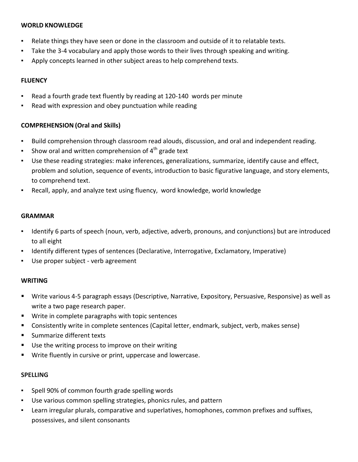## **WORLD KNOWLEDGE**

- Relate things they have seen or done in the classroom and outside of it to relatable texts.
- Take the 3-4 vocabulary and apply those words to their lives through speaking and writing.
- Apply concepts learned in other subject areas to help comprehend texts.

# **FLUENCY**

- Read a fourth grade text fluently by reading at 120-140 words per minute
- Read with expression and obey punctuation while reading

# **COMPREHENSION (Oral and Skills)**

- Build comprehension through classroom read alouds, discussion, and oral and independent reading.
- Show oral and written comprehension of  $4<sup>th</sup>$  grade text
- Use these reading strategies: make inferences, generalizations, summarize, identify cause and effect, problem and solution, sequence of events, introduction to basic figurative language, and story elements, to comprehend text.
- Recall, apply, and analyze text using fluency, word knowledge, world knowledge

## **GRAMMAR**

- Identify 6 parts of speech (noun, verb, adjective, adverb, pronouns, and conjunctions) but are introduced to all eight
- Identify different types of sentences (Declarative, Interrogative, Exclamatory, Imperative)
- Use proper subject verb agreement

# **WRITING**

- Write various 4-5 paragraph essays (Descriptive, Narrative, Expository, Persuasive, Responsive) as well as write a two page research paper.
- Write in complete paragraphs with topic sentences
- Consistently write in complete sentences (Capital letter, endmark, subject, verb, makes sense)
- **Summarize different texts**
- Use the writing process to improve on their writing
- **Write fluently in cursive or print, uppercase and lowercase.**

### **SPELLING**

- Spell 90% of common fourth grade spelling words
- Use various common spelling strategies, phonics rules, and pattern
- Learn irregular plurals, comparative and superlatives, homophones, common prefixes and suffixes, possessives, and silent consonants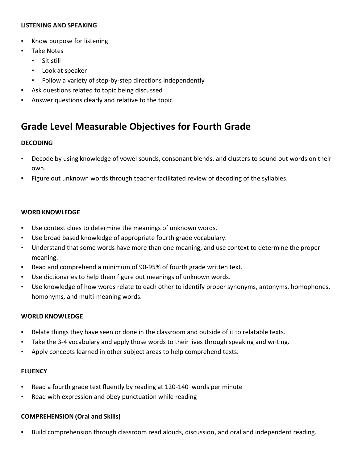### **LISTENING AND SPEAKING**

- Know purpose for listening
- Take Notes
	- Sit still
	- Look at speaker
	- Follow a variety of step-by-step directions independently
- Ask questions related to topic being discussed
- Answer questions clearly and relative to the topic

# **Grade Level Measurable Objectives for Fourth Grade**

# **DECODING**

- Decode by using knowledge of vowel sounds, consonant blends, and clusters to sound out words on their own.
- Figure out unknown words through teacher facilitated review of decoding of the syllables.

## **WORD KNOWLEDGE**

- Use context clues to determine the meanings of unknown words.
- Use broad based knowledge of appropriate fourth grade vocabulary.
- Understand that some words have more than one meaning, and use context to determine the proper meaning.
- Read and comprehend a minimum of 90-95% of fourth grade written text.
- Use dictionaries to help them figure out meanings of unknown words.
- Use knowledge of how words relate to each other to identify proper synonyms, antonyms, homophones, homonyms, and multi-meaning words.

### **WORLD KNOWLEDGE**

- Relate things they have seen or done in the classroom and outside of it to relatable texts.
- Take the 3-4 vocabulary and apply those words to their lives through speaking and writing.
- Apply concepts learned in other subject areas to help comprehend texts.

### **FLUENCY**

- Read a fourth grade text fluently by reading at 120-140 words per minute
- Read with expression and obey punctuation while reading

### **COMPREHENSION (Oral and Skills)**

▪ Build comprehension through classroom read alouds, discussion, and oral and independent reading.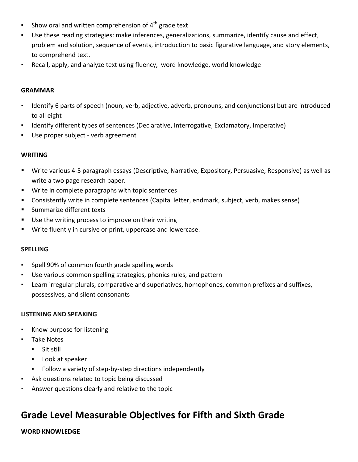- Show oral and written comprehension of  $4<sup>th</sup>$  grade text
- Use these reading strategies: make inferences, generalizations, summarize, identify cause and effect, problem and solution, sequence of events, introduction to basic figurative language, and story elements, to comprehend text.
- Recall, apply, and analyze text using fluency, word knowledge, world knowledge

## **GRAMMAR**

- Identify 6 parts of speech (noun, verb, adjective, adverb, pronouns, and conjunctions) but are introduced to all eight
- Identify different types of sentences (Declarative, Interrogative, Exclamatory, Imperative)
- Use proper subject verb agreement

# **WRITING**

- Write various 4-5 paragraph essays (Descriptive, Narrative, Expository, Persuasive, Responsive) as well as write a two page research paper.
- Write in complete paragraphs with topic sentences
- Consistently write in complete sentences (Capital letter, endmark, subject, verb, makes sense)
- Summarize different texts
- Use the writing process to improve on their writing
- Write fluently in cursive or print, uppercase and lowercase.

# **SPELLING**

- Spell 90% of common fourth grade spelling words
- Use various common spelling strategies, phonics rules, and pattern
- Learn irregular plurals, comparative and superlatives, homophones, common prefixes and suffixes, possessives, and silent consonants

# **LISTENING AND SPEAKING**

- Know purpose for listening
- Take Notes
	- Sit still
	- Look at speaker
	- Follow a variety of step-by-step directions independently
- Ask questions related to topic being discussed
- Answer questions clearly and relative to the topic

# **Grade Level Measurable Objectives for Fifth and Sixth Grade**

# **WORD KNOWLEDGE**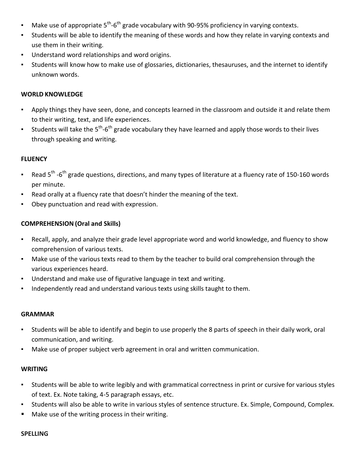- **•** Make use of appropriate 5<sup>th</sup>-6<sup>th</sup> grade vocabulary with 90-95% proficiency in varying contexts.
- Students will be able to identify the meaning of these words and how they relate in varying contexts and use them in their writing.
- Understand word relationships and word origins.
- Students will know how to make use of glossaries, dictionaries, thesauruses, and the internet to identify unknown words.

## **WORLD KNOWLEDGE**

- Apply things they have seen, done, and concepts learned in the classroom and outside it and relate them to their writing, text, and life experiences.
- **EXECT Students will take the 5<sup>th</sup>-6<sup>th</sup> grade vocabulary they have learned and apply those words to their lives** through speaking and writing.

### **FLUENCY**

- " Read 5<sup>th</sup> -6<sup>th</sup> grade questions, directions, and many types of literature at a fluency rate of 150-160 words per minute.
- Read orally at a fluency rate that doesn't hinder the meaning of the text.
- Obey punctuation and read with expression.

## **COMPREHENSION (Oral and Skills)**

- Recall, apply, and analyze their grade level appropriate word and world knowledge, and fluency to show comprehension of various texts.
- Make use of the various texts read to them by the teacher to build oral comprehension through the various experiences heard.
- Understand and make use of figurative language in text and writing.
- Independently read and understand various texts using skills taught to them.

### **GRAMMAR**

- Students will be able to identify and begin to use properly the 8 parts of speech in their daily work, oral communication, and writing.
- Make use of proper subject verb agreement in oral and written communication.

### **WRITING**

- Students will be able to write legibly and with grammatical correctness in print or cursive for various styles of text. Ex. Note taking, 4-5 paragraph essays, etc.
- Students will also be able to write in various styles of sentence structure. Ex. Simple, Compound, Complex.
- Make use of the writing process in their writing.

#### **SPELLING**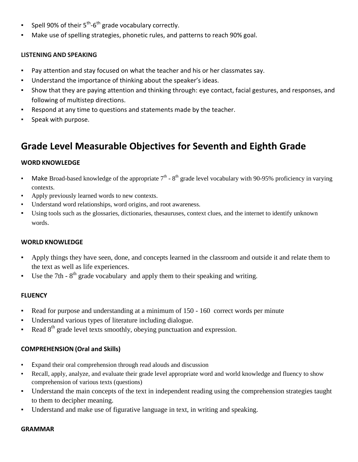- **Spell 90% of their 5<sup>th</sup>-6<sup>th</sup> grade vocabulary correctly.**
- Make use of spelling strategies, phonetic rules, and patterns to reach 90% goal.

# **LISTENING AND SPEAKING**

- Pay attention and stay focused on what the teacher and his or her classmates say.
- Understand the importance of thinking about the speaker's ideas.
- Show that they are paying attention and thinking through: eye contact, facial gestures, and responses, and following of multistep directions.
- Respond at any time to questions and statements made by the teacher.
- Speak with purpose.

# **Grade Level Measurable Objectives for Seventh and Eighth Grade**

# **WORD KNOWLEDGE**

- Make Broad-based knowledge of the appropriate  $7<sup>th</sup>$   $8<sup>th</sup>$  grade level vocabulary with 90-95% proficiency in varying contexts.
- Apply previously learned words to new contexts.
- Understand word relationships, word origins, and root awareness.
- Using tools such as the glossaries, dictionaries, thesauruses, context clues, and the internet to identify unknown words.

# **WORLD KNOWLEDGE**

- Apply things they have seen, done, and concepts learned in the classroom and outside it and relate them to the text as well as life experiences.
- **•** Use the 7th  $8<sup>th</sup>$  grade vocabulary and apply them to their speaking and writing.

# **FLUENCY**

- Read for purpose and understanding at a minimum of 150 160 correct words per minute
- Understand various types of literature including dialogue.
- Read  $8<sup>th</sup>$  grade level texts smoothly, obeying punctuation and expression.

# **COMPREHENSION (Oral and Skills)**

- Expand their oral comprehension through read alouds and discussion
- Recall, apply, analyze, and evaluate their grade level appropriate word and world knowledge and fluency to show comprehension of various texts (questions)
- Understand the main concepts of the text in independent reading using the comprehension strategies taught to them to decipher meaning.
- Understand and make use of figurative language in text, in writing and speaking.

### **GRAMMAR**